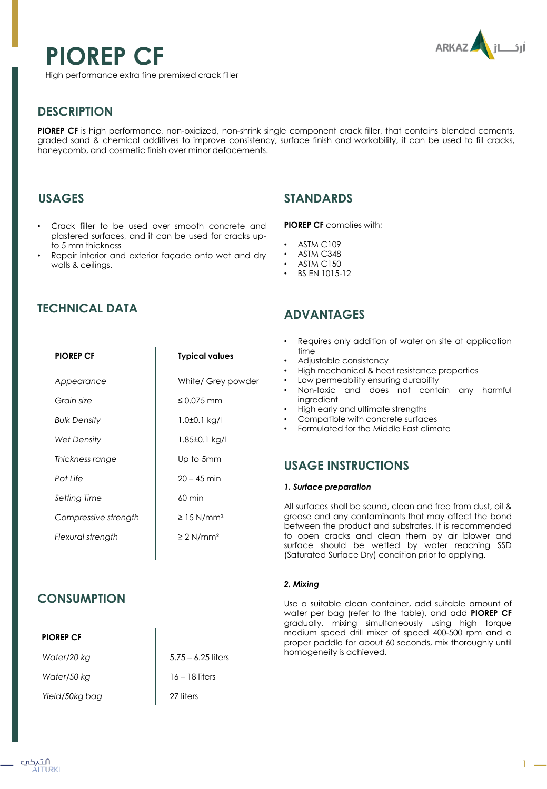# **PIOREP CF**



High performance extra fine premixed crack filler

# **DESCRIPTION**

**PIOREP CF** is high performance, non-oxidized, non-shrink single component crack filler, that contains blended cements, graded sand & chemical additives to improve consistency, surface finish and workability, it can be used to fill cracks, honeycomb, and cosmetic finish over minor defacements.

### **USAGES**

- Crack filler to be used over smooth concrete and plastered surfaces, and it can be used for cracks upto 5 mm thickness
- Repair interior and exterior façade onto wet and dry walls & ceilings.

# **TECHNICAL DATA**

| <b>PIOREP CF</b>     | <b>Typical values</b>       |
|----------------------|-----------------------------|
| Appearance           | White/ Grey powder          |
| Grain size           | $\leq 0.075$ mm             |
| Bulk Density         | 1.0±0.1 kg/l                |
| Wet Density          | 1.85±0.1 kg/l               |
| Thickness range      | Up to 5mm                   |
| Pot Life             | $20 - 45$ min               |
| Setting Time         | $60 \text{ min}$            |
| Compressive strength | $\geq$ 15 N/mm <sup>2</sup> |
| Flexural strength    | $\geq 2$ N/mm <sup>2</sup>  |
|                      |                             |

# **CONSUMPTION**

#### **PIOREP CF**

| Water/20 kg    | $5.75 - 6.25$ liters |
|----------------|----------------------|
| Water/50 kg    | $16 - 18$ liters     |
| Yield/50kg bag | 27 liters            |

## **STANDARDS**

#### **PIOREP CF** complies with;

- **ASTM C109**
- ASTM C348
- **ASTM C150**
- BS EN 1015-12

## **ADVANTAGES**

- Requires only addition of water on site at application time
- Adjustable consistency
- High mechanical & heat resistance properties
- Low permeability ensuring durability
- Non-toxic and does not contain any harmful ingredient
- High early and ultimate strengths
- Compatible with concrete surfaces
- Formulated for the Middle East climate

### **USAGE INSTRUCTIONS**

#### *1. Surface preparation*

All surfaces shall be sound, clean and free from dust, oil & grease and any contaminants that may affect the bond between the product and substrates. It is recommended to open cracks and clean them by air blower and surface should be wetted by water reaching SSD (Saturated Surface Dry) condition prior to applying.

#### *2. Mixing*

Use a suitable clean container, add suitable amount of water per bag (refer to the table), and add **PIOREP CF** gradually, mixing simultaneously using high torque medium speed drill mixer of speed 400-500 rpm and a proper paddle for about 60 seconds, mix thoroughly until homogeneity is achieved.